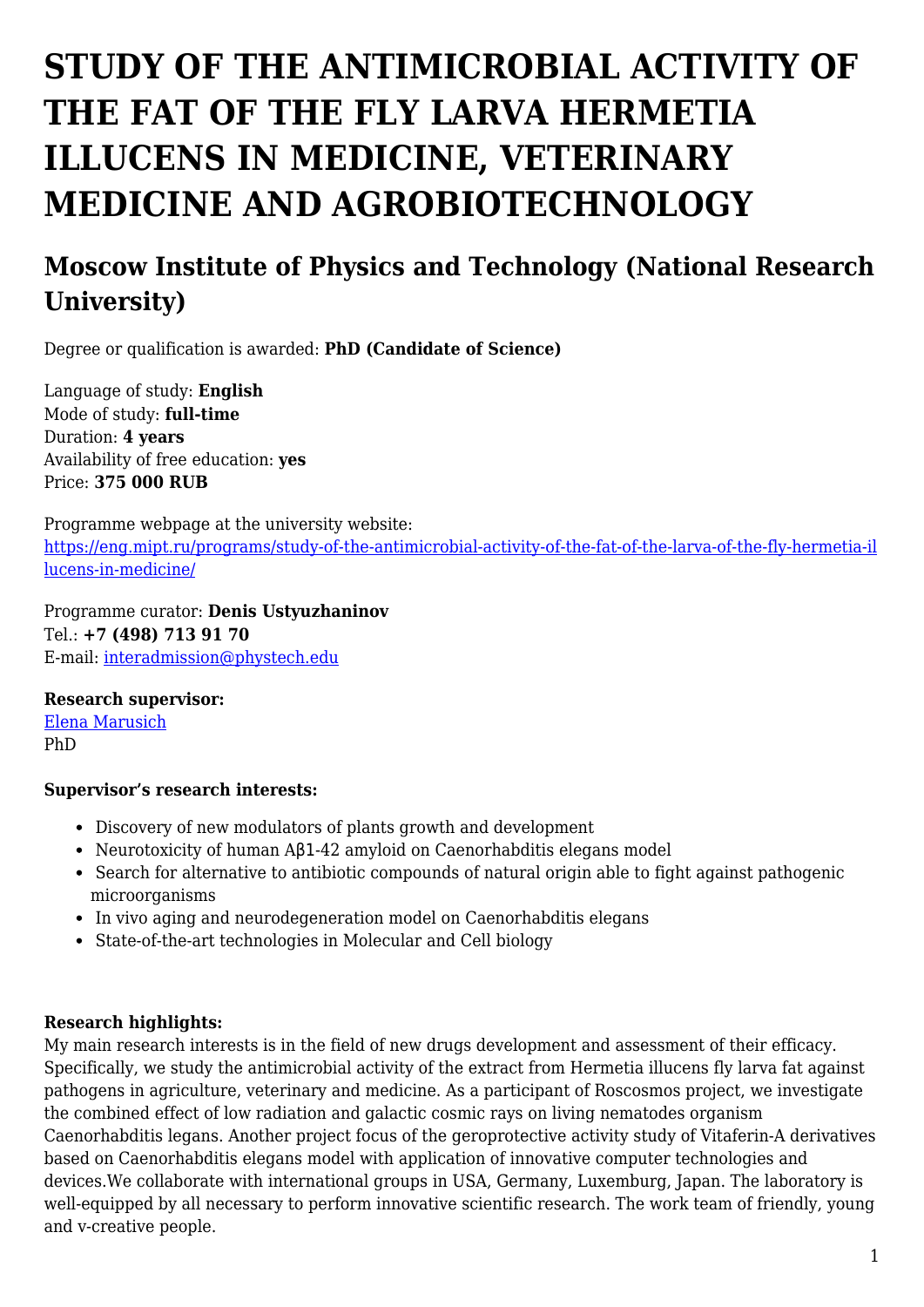# **STUDY OF THE ANTIMICROBIAL ACTIVITY OF THE FAT OF THE FLY LARVA HERMETIA ILLUCENS IN MEDICINE, VETERINARY MEDICINE AND AGROBIOTECHNOLOGY**

# **Moscow Institute of Physics and Technology (National Research University)**

Degree or qualification is awarded: **PhD (Candidate of Science)**

Language of study: **English** Mode of study: **full-time** Duration: **4 years** Availability of free education: **yes** Price: **375 000 RUB**

Programme webpage at the university website: [https://eng.mipt.ru/programs/study-of-the-antimicrobial-activity-of-the-fat-of-the-larva-of-the-fly-hermetia-il](https://eng.mipt.ru/programs/study-of-the-antimicrobial-activity-of-the-fat-of-the-larva-of-the-fly-hermetia-illucens-in-medicine/) [lucens-in-medicine/](https://eng.mipt.ru/programs/study-of-the-antimicrobial-activity-of-the-fat-of-the-larva-of-the-fly-hermetia-illucens-in-medicine/)

Programme curator: **Denis Ustyuzhaninov** Tel.: **+7 (498) 713 91 70** E-mail: [interadmission@phystech.edu](mailto:interadmission@phystech.edu)

#### **Research supervisor:**

[Elena Marusich](https://www.researchgate.net/profile/Elena_Marusich2) PhD

#### **Supervisor's research interests:**

- Discovery of new modulators of plants growth and development
- Neurotoxicity of human Aβ1-42 amyloid on Caenorhabditis elegans model
- Search for alternative to antibiotic compounds of natural origin able to fight against pathogenic microorganisms
- In vivo aging and neurodegeneration model on Caenorhabditis elegans
- State-of-the-art technologies in Molecular and Cell biology

#### **Research highlights:**

My main research interests is in the field of new drugs development and assessment of their efficacy. Specifically, we study the antimicrobial activity of the extract from Hermetia illucens fly larva fat against pathogens in agriculture, veterinary and medicine. As a participant of Roscosmos project, we investigate the combined effect of low radiation and galactic cosmic rays on living nematodes organism Caenorhabditis legans. Another project focus of the geroprotective activity study of Vitaferin-A derivatives based on Caenorhabditis elegans model with application of innovative computer technologies and devices.We collaborate with international groups in USA, Germany, Luxemburg, Japan. The laboratory is well-equipped by all necessary to perform innovative scientific research. The work team of friendly, young and v-creative people.